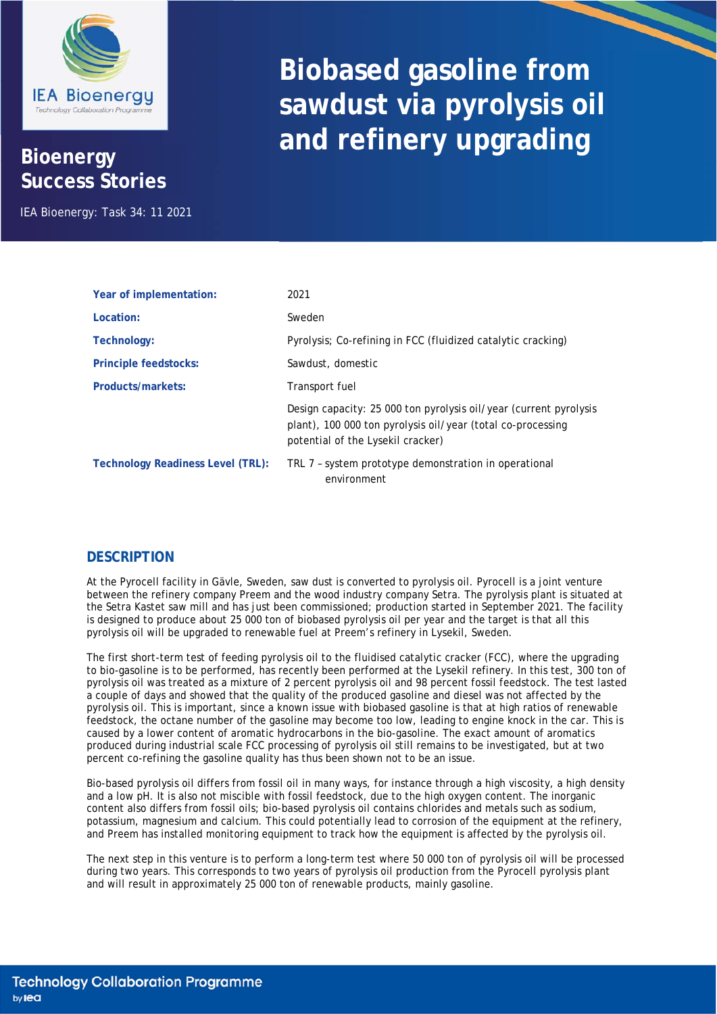

## **Bioenergy Success Stories**

IEA Bioenergy: Task 34: 11 2021

## **Biobased gasoline from sawdust via pyrolysis oil and refinery upgrading**

| Year of implementation:                  | 2021                                                                                                                                                                  |
|------------------------------------------|-----------------------------------------------------------------------------------------------------------------------------------------------------------------------|
| Location:                                | Sweden                                                                                                                                                                |
| Technology:                              | Pyrolysis; Co-refining in FCC (fluidized catalytic cracking)                                                                                                          |
| <b>Principle feedstocks:</b>             | Sawdust, domestic                                                                                                                                                     |
| Products/markets:                        | Transport fuel                                                                                                                                                        |
|                                          | Design capacity: 25 000 ton pyrolysis oil/year (current pyrolysis<br>plant), 100 000 ton pyrolysis oil/year (total co-processing<br>potential of the Lysekil cracker) |
| <b>Technology Readiness Level (TRL):</b> | TRL 7 - system prototype demonstration in operational<br>environment                                                                                                  |

## **DESCRIPTION**

At the Pyrocell facility in Gävle, Sweden, saw dust is converted to pyrolysis oil. Pyrocell is a joint venture between the refinery company Preem and the wood industry company Setra. The pyrolysis plant is situated at the Setra Kastet saw mill and has just been commissioned; production started in September 2021. The facility is designed to produce about 25 000 ton of biobased pyrolysis oil per year and the target is that all this pyrolysis oil will be upgraded to renewable fuel at Preem's refinery in Lysekil, Sweden.

The first short-term test of feeding pyrolysis oil to the fluidised catalytic cracker (FCC), where the upgrading to bio-gasoline is to be performed, has recently been performed at the Lysekil refinery. In this test, 300 ton of pyrolysis oil was treated as a mixture of 2 percent pyrolysis oil and 98 percent fossil feedstock. The test lasted a couple of days and showed that the quality of the produced gasoline and diesel was not affected by the pyrolysis oil. This is important, since a known issue with biobased gasoline is that at high ratios of renewable feedstock, the octane number of the gasoline may become too low, leading to engine knock in the car. This is caused by a lower content of aromatic hydrocarbons in the bio-gasoline. The exact amount of aromatics produced during industrial scale FCC processing of pyrolysis oil still remains to be investigated, but at two percent co-refining the gasoline quality has thus been shown not to be an issue.

Bio-based pyrolysis oil differs from fossil oil in many ways, for instance through a high viscosity, a high density and a low pH. It is also not miscible with fossil feedstock, due to the high oxygen content. The inorganic content also differs from fossil oils; bio-based pyrolysis oil contains chlorides and metals such as sodium, potassium, magnesium and calcium. This could potentially lead to corrosion of the equipment at the refinery, and Preem has installed monitoring equipment to track how the equipment is affected by the pyrolysis oil.

The next step in this venture is to perform a long-term test where 50 000 ton of pyrolysis oil will be processed during two years. This corresponds to two years of pyrolysis oil production from the Pyrocell pyrolysis plant and will result in approximately 25 000 ton of renewable products, mainly gasoline.